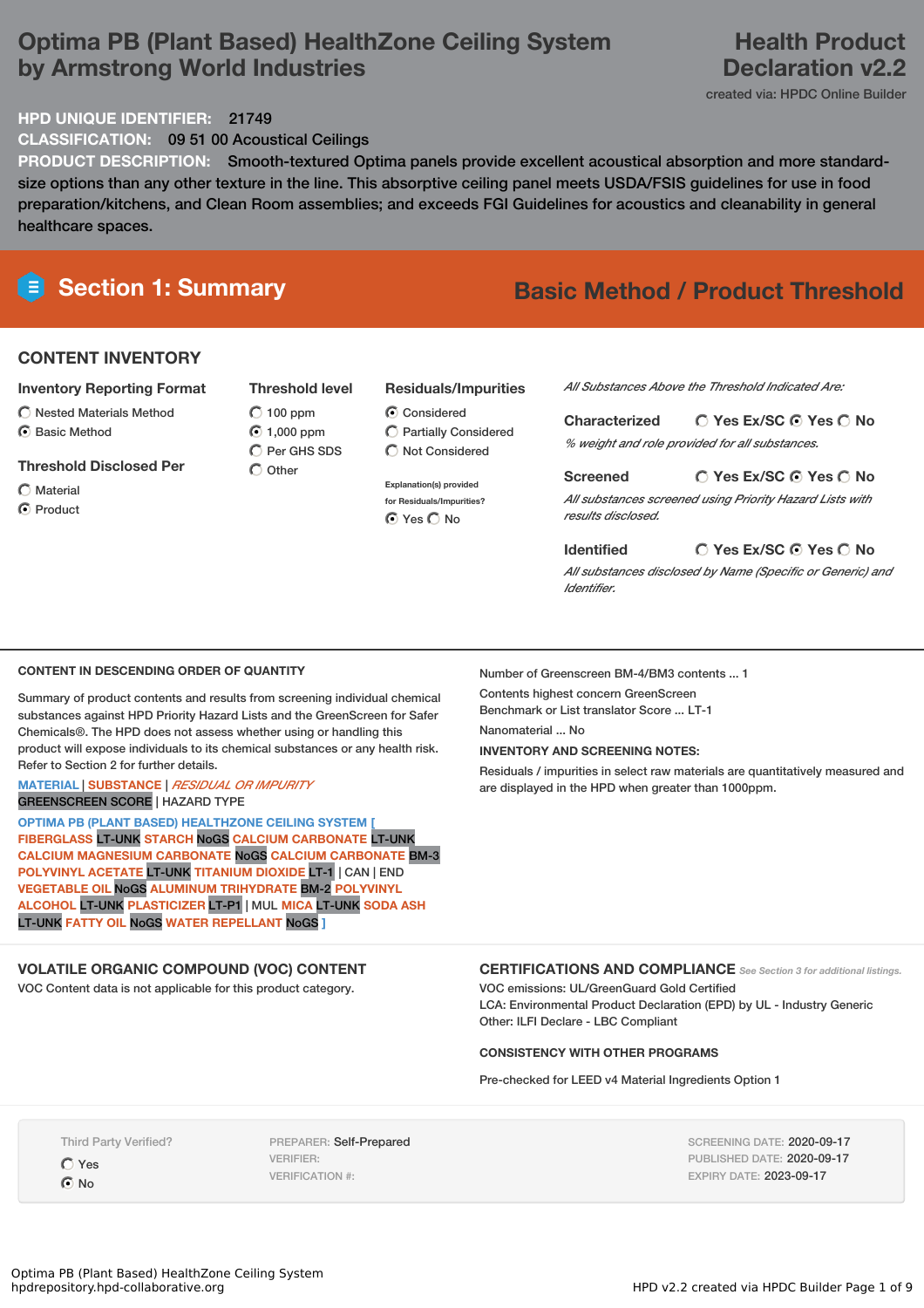# **Optima PB (Plant Based) HealthZone Ceiling System by Armstrong World Industries**

# **Health Product Declaration v2.2**

created via: HPDC Online Builder

**HPD UNIQUE IDENTIFIER:** 21749

**CLASSIFICATION:** 09 51 00 Acoustical Ceilings

**PRODUCT DESCRIPTION:** Smooth-textured Optima panels provide excellent acoustical absorption and more standardsize options than any other texture in the line. This absorptive ceiling panel meets USDA/FSIS guidelines for use in food preparation/kitchens, and Clean Room assemblies; and exceeds FGI Guidelines for acoustics and cleanability in general healthcare spaces.

# **Section 1: Summary Basic Method / Product Threshold**

# **CONTENT INVENTORY**

#### **Inventory Reporting Format**

 $\bigcirc$  Nested Materials Method C Basic Method

## **Threshold Disclosed Per**

Material

C Product

**Threshold level**  $\bigcirc$  100 ppm 1,000 ppm  $\bigcap$  Per GHS SDS

 $\bigcirc$  Other

## **Residuals/Impurities**

**C** Considered

*All Substances Above the Threshold Indicated Are:*

**Yes Ex/SC Yes No Characterized** *% weight and role provided for all substances.*

**Yes Ex/SC Yes No Screened** *All substances screened using Priority Hazard Lists with results disclosed.*

## **Identified**

*All substances disclosed by Name (Specific or Generic) and Identifier.*

**Yes Ex/SC Yes No**

### **CONTENT IN DESCENDING ORDER OF QUANTITY**

Summary of product contents and results from screening individual chemical substances against HPD Priority Hazard Lists and the GreenScreen for Safer Chemicals®. The HPD does not assess whether using or handling this product will expose individuals to its chemical substances or any health risk. Refer to Section 2 for further details.

#### **MATERIAL** | **SUBSTANCE** | *RESIDUAL OR IMPURITY* GREENSCREEN SCORE | HAZARD TYPE

**OPTIMA PB (PLANT BASED) HEALTHZONE CEILING SYSTEM [ FIBERGLASS** LT-UNK **STARCH** NoGS **CALCIUM CARBONATE** LT-UNK **CALCIUM MAGNESIUM CARBONATE** NoGS **CALCIUM CARBONATE** BM-3 **POLYVINYL ACETATE** LT-UNK **TITANIUM DIOXIDE** LT-1 | CAN | END **VEGETABLE OIL** NoGS **ALUMINUM TRIHYDRATE** BM-2 **POLYVINYL ALCOHOL** LT-UNK **PLASTICIZER** LT-P1 | MUL **MICA** LT-UNK **SODA ASH** LT-UNK **FATTY OIL** NoGS **WATER REPELLANT** NoGS **]**

# **VOLATILE ORGANIC COMPOUND (VOC) CONTENT**

VOC Content data is not applicable for this product category.

Number of Greenscreen BM-4/BM3 contents ... 1

Contents highest concern GreenScreen Benchmark or List translator Score ... LT-1

Nanomaterial No.

**INVENTORY AND SCREENING NOTES:**

Residuals / impurities in select raw materials are quantitatively measured and are displayed in the HPD when greater than 1000ppm.

**CERTIFICATIONS AND COMPLIANCE** *See Section <sup>3</sup> for additional listings.* VOC emissions: UL/GreenGuard Gold Certified LCA: Environmental Product Declaration (EPD) by UL - Industry Generic Other: ILFI Declare - LBC Compliant

#### **CONSISTENCY WITH OTHER PROGRAMS**

Pre-checked for LEED v4 Material Ingredients Option 1

Third Party Verified?

Yes  $\odot$  No

PREPARER: Self-Prepared VERIFIER: VERIFICATION #:

SCREENING DATE: 2020-09-17 PUBLISHED DATE: 2020-09-17 EXPIRY DATE: 2023-09-17

# Partially Considered  $\bigcirc$  Not Considered

**Explanation(s) provided for Residuals/Impurities?** ⊙ Yes C No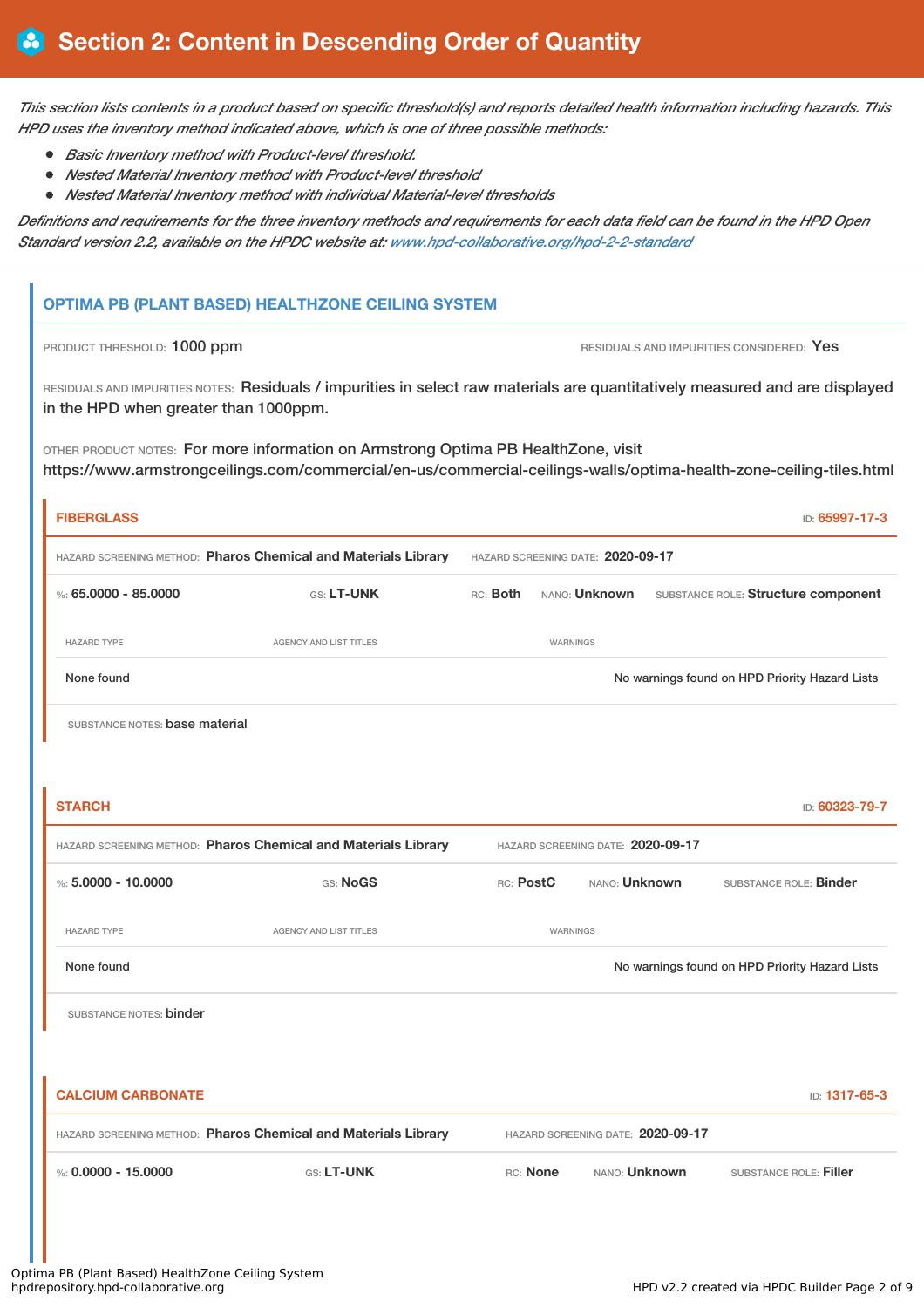This section lists contents in a product based on specific threshold(s) and reports detailed health information including hazards. This *HPD uses the inventory method indicated above, which is one of three possible methods:*

- *Basic Inventory method with Product-level threshold.*
- *Nested Material Inventory method with Product-level threshold*
- *Nested Material Inventory method with individual Material-level thresholds*

Definitions and requirements for the three inventory methods and requirements for each data field can be found in the HPD Open *Standard version 2.2, available on the HPDC website at: [www.hpd-collaborative.org/hpd-2-2-standard](https://www.hpd-collaborative.org/hpd-2-2-standard)*

# **OPTIMA PB (PLANT BASED) HEALTHZONE CEILING SYSTEM**

PRODUCT THRESHOLD: 1000 ppm **RESIDUALS** AND IMPURITIES CONSIDERED: Yes

RESIDUALS AND IMPURITIES NOTES: Residuals / impurities in select raw materials are quantitatively measured and are displayed in the HPD when greater than 1000ppm.

OTHER PRODUCT NOTES: For more information on Armstrong Optima PB HealthZone, visit https://www.armstrongceilings.com/commercial/en-us/commercial-ceilings-walls/optima-health-zone-ceiling-tiles.html

| <b>FIBERGLASS</b>              |                                                                |                                   |          |                                   |  | ID: 65997-17-3                                 |
|--------------------------------|----------------------------------------------------------------|-----------------------------------|----------|-----------------------------------|--|------------------------------------------------|
|                                | HAZARD SCREENING METHOD: Pharos Chemical and Materials Library |                                   |          | HAZARD SCREENING DATE: 2020-09-17 |  |                                                |
| %: 65.0000 - 85.0000           | GS: LT-UNK                                                     | RC: Both                          |          | NANO: <b>Unknown</b>              |  | SUBSTANCE ROLE: Structure component            |
| <b>HAZARD TYPE</b>             | <b>AGENCY AND LIST TITLES</b>                                  |                                   | WARNINGS |                                   |  |                                                |
| None found                     |                                                                |                                   |          |                                   |  | No warnings found on HPD Priority Hazard Lists |
| SUBSTANCE NOTES: base material |                                                                |                                   |          |                                   |  |                                                |
|                                |                                                                |                                   |          |                                   |  |                                                |
| <b>STARCH</b>                  |                                                                |                                   |          |                                   |  | ID: 60323-79-7                                 |
|                                | HAZARD SCREENING METHOD: Pharos Chemical and Materials Library | HAZARD SCREENING DATE: 2020-09-17 |          |                                   |  |                                                |
| %: $5.0000 - 10.0000$          | <b>GS: NoGS</b>                                                | RC: PostC                         |          | NANO: <b>Unknown</b>              |  | SUBSTANCE ROLE: <b>Binder</b>                  |
| <b>HAZARD TYPE</b>             | <b>AGENCY AND LIST TITLES</b>                                  |                                   | WARNINGS |                                   |  |                                                |
| None found                     |                                                                |                                   |          |                                   |  | No warnings found on HPD Priority Hazard Lists |
| SUBSTANCE NOTES: binder        |                                                                |                                   |          |                                   |  |                                                |
|                                |                                                                |                                   |          |                                   |  |                                                |
| <b>CALCIUM CARBONATE</b>       |                                                                |                                   |          |                                   |  | ID: 1317-65-3                                  |
|                                | HAZARD SCREENING METHOD: Pharos Chemical and Materials Library |                                   |          | HAZARD SCREENING DATE: 2020-09-17 |  |                                                |
| %: $0.0000 - 15.0000$          | GS: LT-UNK                                                     |                                   | RC: None | NANO: Unknown                     |  | SUBSTANCE ROLE: Filler                         |
|                                |                                                                |                                   |          |                                   |  |                                                |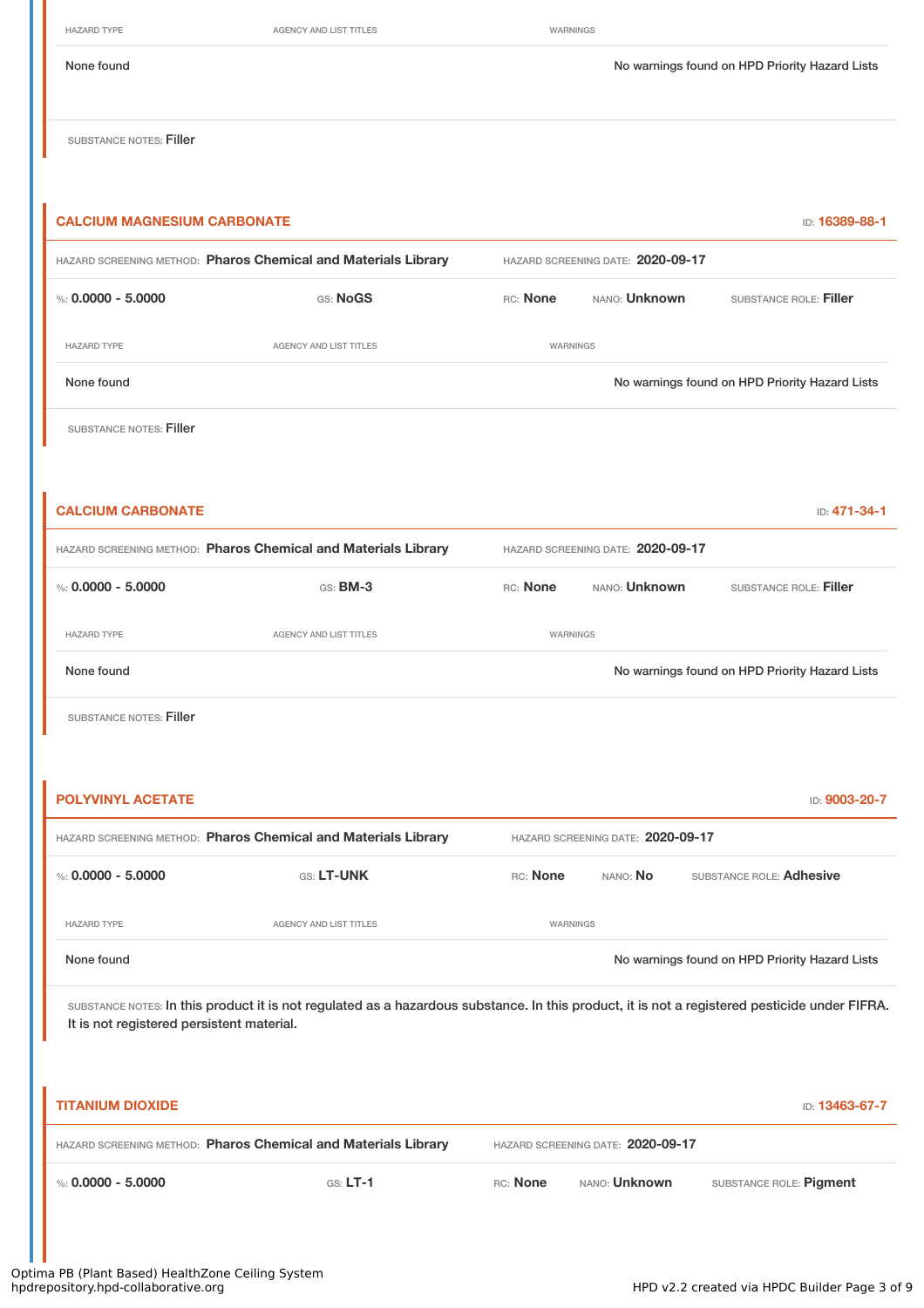HAZARD TYPE **AGENCY AND LIST TITLES** WARNINGS

None found No warnings found on HPD Priority Hazard Lists

SUBSTANCE NOTES: Filler

| <b>CALCIUM MAGNESIUM CARBONATE</b>        |                                                                                                                                               |                 |                                   | ID: 16389-88-1                                 |
|-------------------------------------------|-----------------------------------------------------------------------------------------------------------------------------------------------|-----------------|-----------------------------------|------------------------------------------------|
|                                           | HAZARD SCREENING METHOD: Pharos Chemical and Materials Library                                                                                |                 | HAZARD SCREENING DATE: 2020-09-17 |                                                |
| %: $0.0000 - 5.0000$                      | GS: NoGS                                                                                                                                      | RC: None        | NANO: <b>Unknown</b>              | SUBSTANCE ROLE: Filler                         |
| <b>HAZARD TYPE</b>                        | AGENCY AND LIST TITLES                                                                                                                        | <b>WARNINGS</b> |                                   |                                                |
| None found                                |                                                                                                                                               |                 |                                   | No warnings found on HPD Priority Hazard Lists |
| <b>SUBSTANCE NOTES: Filler</b>            |                                                                                                                                               |                 |                                   |                                                |
|                                           |                                                                                                                                               |                 |                                   |                                                |
| <b>CALCIUM CARBONATE</b>                  |                                                                                                                                               |                 |                                   | ID: 471-34-1                                   |
|                                           | HAZARD SCREENING METHOD: Pharos Chemical and Materials Library                                                                                |                 | HAZARD SCREENING DATE: 2020-09-17 |                                                |
| %: $0.0000 - 5.0000$                      | GS: BM-3                                                                                                                                      | RC: None        | NANO: Unknown                     | SUBSTANCE ROLE: Filler                         |
| <b>HAZARD TYPE</b>                        | AGENCY AND LIST TITLES                                                                                                                        | WARNINGS        |                                   |                                                |
| None found                                |                                                                                                                                               |                 |                                   | No warnings found on HPD Priority Hazard Lists |
| SUBSTANCE NOTES: Filler                   |                                                                                                                                               |                 |                                   |                                                |
|                                           |                                                                                                                                               |                 |                                   |                                                |
| <b>POLYVINYL ACETATE</b>                  |                                                                                                                                               |                 |                                   | ID: 9003-20-7                                  |
|                                           | HAZARD SCREENING METHOD: Pharos Chemical and Materials Library                                                                                |                 | HAZARD SCREENING DATE: 2020-09-17 |                                                |
| %: $0.0000 - 5.0000$                      | <b>GS: LT-UNK</b>                                                                                                                             | RC: None        | nano: <b>No</b>                   | SUBSTANCE ROLE: Adhesive                       |
| <b>HAZARD TYPE</b>                        | AGENCY AND LIST TITLES                                                                                                                        | WARNINGS        |                                   |                                                |
| None found                                |                                                                                                                                               |                 |                                   | No warnings found on HPD Priority Hazard Lists |
| It is not registered persistent material. | SUBSTANCE NOTES: In this product it is not regulated as a hazardous substance. In this product, it is not a registered pesticide under FIFRA. |                 |                                   |                                                |
| <b>TITANIUM DIOXIDE</b>                   |                                                                                                                                               |                 |                                   | ID: 13463-67-7                                 |
|                                           | HAZARD SCREENING METHOD: Pharos Chemical and Materials Library                                                                                |                 | HAZARD SCREENING DATE: 2020-09-17 |                                                |
| %: $0.0000 - 5.0000$                      | $G.S. LT-1$                                                                                                                                   | RC: None        | NANO: Unknown                     | SUBSTANCE ROLE: Pigment                        |
|                                           |                                                                                                                                               |                 |                                   |                                                |

Optima PB (Plant Based) HealthZone Ceiling System hpdrepository.hpd-collaborative.org HPD v2.2 created via HPDC Builder Page 3 of 9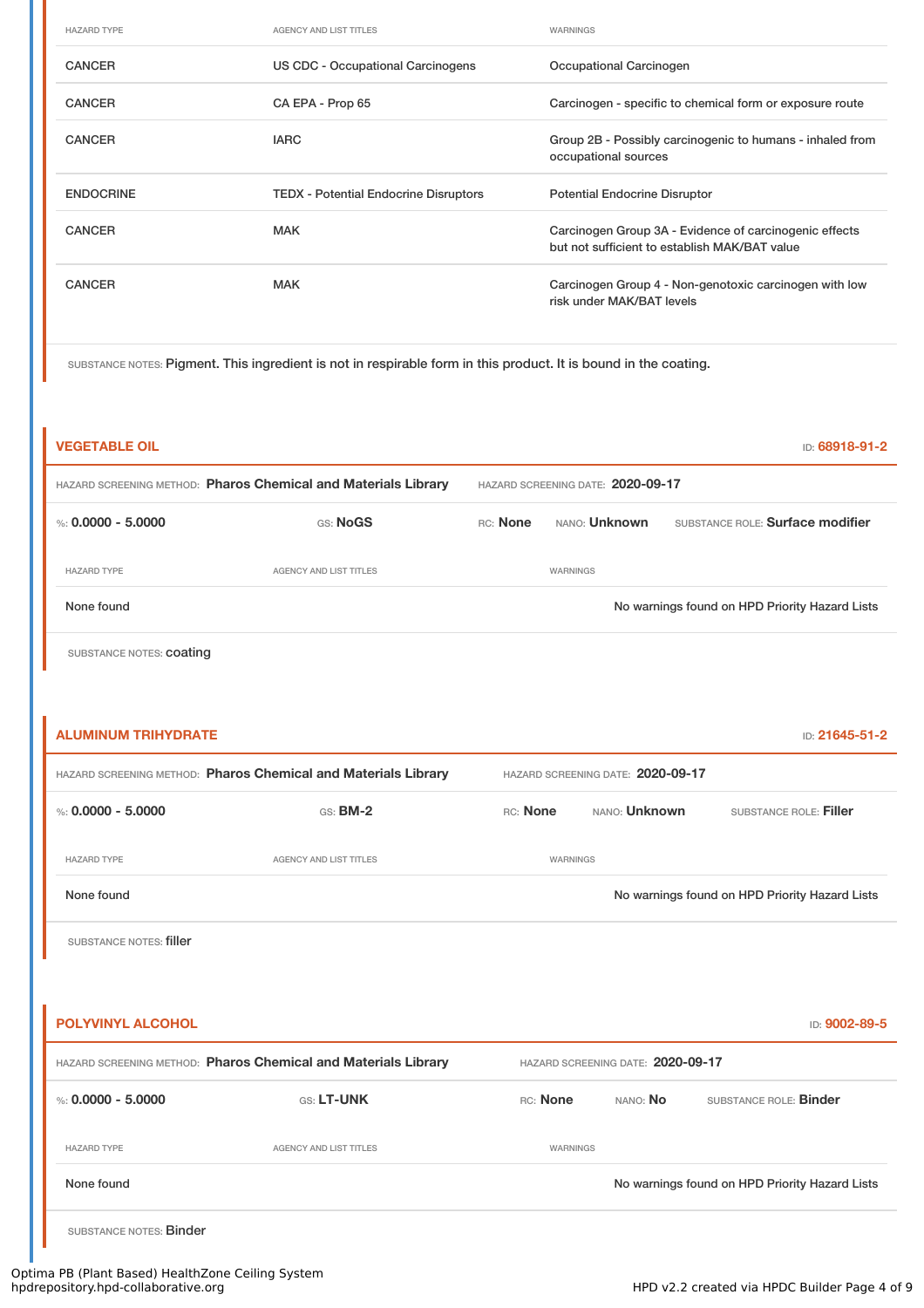| <b>HAZARD TYPE</b> | <b>AGENCY AND LIST TITLES</b>                | WARNINGS                                                                                                |
|--------------------|----------------------------------------------|---------------------------------------------------------------------------------------------------------|
| <b>CANCER</b>      | US CDC - Occupational Carcinogens            | Occupational Carcinogen                                                                                 |
| <b>CANCER</b>      | CA EPA - Prop 65                             | Carcinogen - specific to chemical form or exposure route                                                |
| <b>CANCER</b>      | <b>IARC</b>                                  | Group 2B - Possibly carcinogenic to humans - inhaled from<br>occupational sources                       |
| <b>ENDOCRINE</b>   | <b>TEDX - Potential Endocrine Disruptors</b> | <b>Potential Endocrine Disruptor</b>                                                                    |
| <b>CANCER</b>      | <b>MAK</b>                                   | Carcinogen Group 3A - Evidence of carcinogenic effects<br>but not sufficient to establish MAK/BAT value |
| <b>CANCER</b>      | <b>MAK</b>                                   | Carcinogen Group 4 - Non-genotoxic carcinogen with low<br>risk under MAK/BAT levels                     |

SUBSTANCE NOTES: Pigment. This ingredient is not in respirable form in this product. It is bound in the coating.

| <b>VEGETABLE OIL</b>                                           |                               |                                   |                      | ID: 68918-91-2                                 |  |
|----------------------------------------------------------------|-------------------------------|-----------------------------------|----------------------|------------------------------------------------|--|
| HAZARD SCREENING METHOD: Pharos Chemical and Materials Library |                               | HAZARD SCREENING DATE: 2020-09-17 |                      |                                                |  |
| %: $0.0000 - 5.0000$                                           | GS: NoGS                      | RC: None                          | NANO: <b>Unknown</b> | SUBSTANCE ROLE: Surface modifier               |  |
| <b>HAZARD TYPE</b>                                             | <b>AGENCY AND LIST TITLES</b> |                                   | WARNINGS             |                                                |  |
| None found                                                     |                               |                                   |                      | No warnings found on HPD Priority Hazard Lists |  |
| SUBSTANCE NOTES: <b>COating</b>                                |                               |                                   |                      |                                                |  |
|                                                                |                               |                                   |                      |                                                |  |
| <b>ALUMINUM TRIHYDRATE</b>                                     |                               |                                   |                      | ID: 21645-51-2                                 |  |

| HAZARD SCREENING METHOD: Pharos Chemical and Materials Library |                        | HAZARD SCREENING DATE: 2020-09-17 |                      |                                                |
|----------------------------------------------------------------|------------------------|-----------------------------------|----------------------|------------------------------------------------|
| %: $0.0000 - 5.0000$                                           | $GS:$ BM-2             | RC: None                          | NANO: <b>Unknown</b> | SUBSTANCE ROLE: Filler                         |
| <b>HAZARD TYPE</b>                                             | AGENCY AND LIST TITLES | WARNINGS                          |                      |                                                |
| None found                                                     |                        |                                   |                      | No warnings found on HPD Priority Hazard Lists |

SUBSTANCE NOTES: filler

| <b>POLYVINYL ALCOHOL</b>                                       |                               |          |                                   | ID: 9002-89-5                                  |  |
|----------------------------------------------------------------|-------------------------------|----------|-----------------------------------|------------------------------------------------|--|
| HAZARD SCREENING METHOD: Pharos Chemical and Materials Library |                               |          | HAZARD SCREENING DATE: 2020-09-17 |                                                |  |
| %: $0.0000 - 5.0000$                                           | GS: LT-UNK                    | RC: None | NANO: No                          | SUBSTANCE ROLE: Binder                         |  |
| <b>HAZARD TYPE</b>                                             | <b>AGENCY AND LIST TITLES</b> | WARNINGS |                                   |                                                |  |
| None found                                                     |                               |          |                                   | No warnings found on HPD Priority Hazard Lists |  |
| SUBSTANCE NOTES: Binder                                        |                               |          |                                   |                                                |  |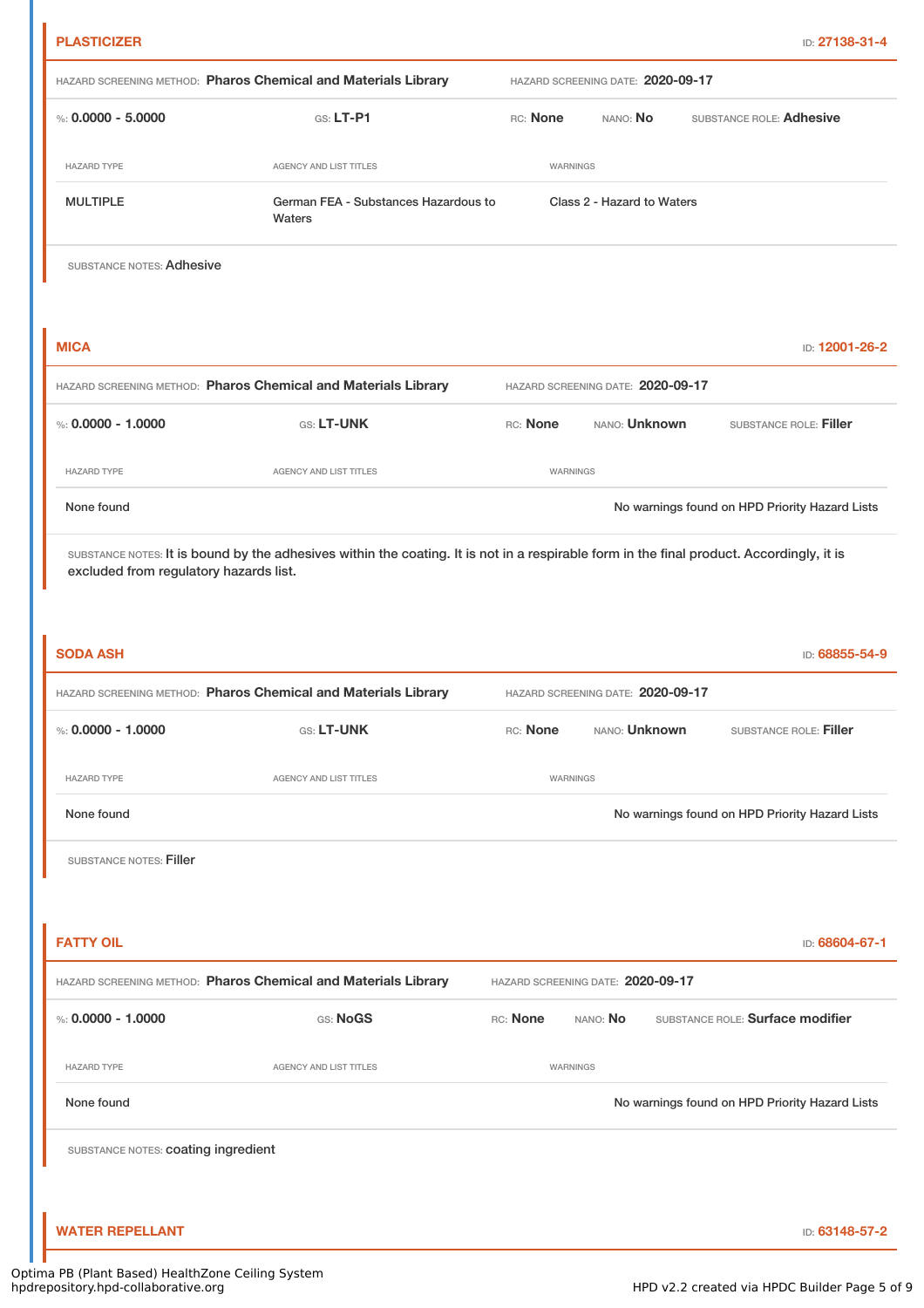|                                     |                                                                |                                   |                            |                                  | ID: 27138-31-4                                 |
|-------------------------------------|----------------------------------------------------------------|-----------------------------------|----------------------------|----------------------------------|------------------------------------------------|
|                                     | HAZARD SCREENING METHOD: Pharos Chemical and Materials Library | HAZARD SCREENING DATE: 2020-09-17 |                            |                                  |                                                |
| %: $0.0000 - 5.0000$                | $G.S. LT-P1$                                                   | RC: None                          | NANO: No                   | SUBSTANCE ROLE: Adhesive         |                                                |
| <b>HAZARD TYPE</b>                  | AGENCY AND LIST TITLES                                         | WARNINGS                          |                            |                                  |                                                |
| <b>MULTIPLE</b>                     | German FEA - Substances Hazardous to<br>Waters                 |                                   | Class 2 - Hazard to Waters |                                  |                                                |
| SUBSTANCE NOTES: Adhesive           |                                                                |                                   |                            |                                  |                                                |
| <b>MICA</b>                         |                                                                |                                   |                            |                                  | ID: 12001-26-2                                 |
|                                     | HAZARD SCREENING METHOD: Pharos Chemical and Materials Library | HAZARD SCREENING DATE: 2020-09-17 |                            |                                  |                                                |
| %: $0.0000 - 1.0000$                | GS: LT-UNK                                                     | RC: None                          | NANO: Unknown              |                                  | SUBSTANCE ROLE: Filler                         |
| <b>HAZARD TYPE</b>                  | AGENCY AND LIST TITLES                                         | <b>WARNINGS</b>                   |                            |                                  |                                                |
| None found                          |                                                                |                                   |                            |                                  | No warnings found on HPD Priority Hazard Lists |
|                                     |                                                                |                                   |                            |                                  |                                                |
| <b>SODA ASH</b>                     |                                                                |                                   |                            |                                  | ID: 68855-54-9                                 |
| %: $0.0000 - 1.0000$                | HAZARD SCREENING METHOD: Pharos Chemical and Materials Library | HAZARD SCREENING DATE: 2020-09-17 | NANO: <b>Unknown</b>       |                                  |                                                |
|                                     | GS: LT-UNK                                                     | RC: None                          |                            |                                  | SUBSTANCE ROLE: Filler                         |
| <b>HAZARD TYPE</b>                  | AGENCY AND LIST TITLES                                         | <b>WARNINGS</b>                   |                            |                                  |                                                |
| None found                          |                                                                |                                   |                            |                                  | No warnings found on HPD Priority Hazard Lists |
| SUBSTANCE NOTES: Filler             |                                                                |                                   |                            |                                  |                                                |
| <b>FATTY OIL</b>                    |                                                                |                                   |                            |                                  | ID: 68604-67-1                                 |
|                                     | HAZARD SCREENING METHOD: Pharos Chemical and Materials Library | HAZARD SCREENING DATE: 2020-09-17 |                            |                                  |                                                |
| %: $0.0000 - 1.0000$                | GS: NoGS                                                       | RC: None                          | NANO: No                   | SUBSTANCE ROLE: Surface modifier |                                                |
| <b>HAZARD TYPE</b>                  | AGENCY AND LIST TITLES                                         | WARNINGS                          |                            |                                  |                                                |
| None found                          |                                                                |                                   |                            |                                  | No warnings found on HPD Priority Hazard Lists |
| SUBSTANCE NOTES: coating ingredient |                                                                |                                   |                            |                                  |                                                |
|                                     |                                                                |                                   |                            |                                  |                                                |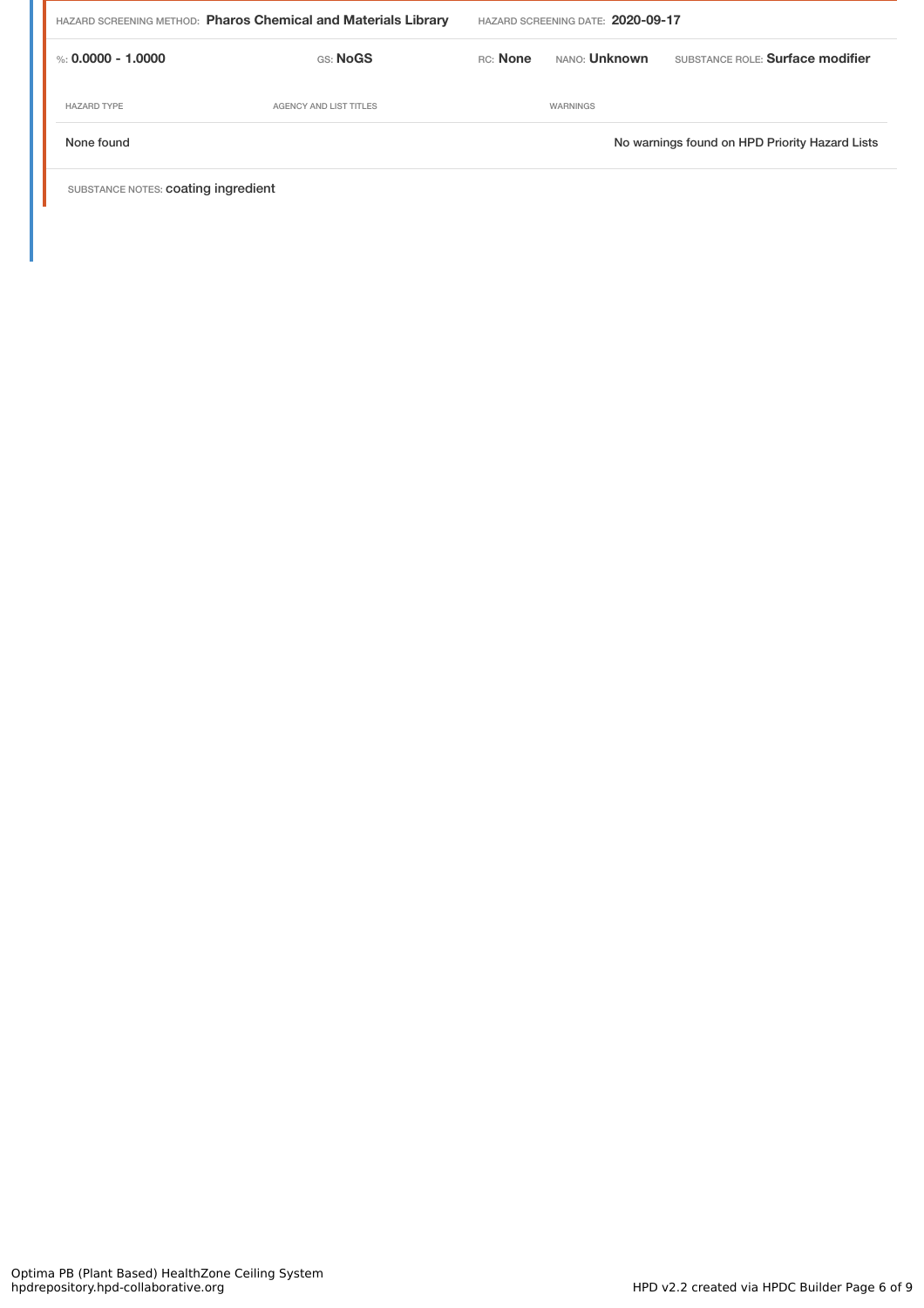| HAZARD SCREENING METHOD: Pharos Chemical and Materials Library |                        | HAZARD SCREENING DATE: 2020-09-17 |                      |                                                |
|----------------------------------------------------------------|------------------------|-----------------------------------|----------------------|------------------------------------------------|
| %: 0.0000 - 1.0000                                             | GS: NoGS               | RC: None                          | NANO: <b>Unknown</b> | SUBSTANCE ROLE: Surface modifier               |
| <b>HAZARD TYPE</b>                                             | AGENCY AND LIST TITLES |                                   | WARNINGS             |                                                |
| None found                                                     |                        |                                   |                      | No warnings found on HPD Priority Hazard Lists |
|                                                                |                        |                                   |                      |                                                |

SUBSTANCE NOTES: coating ingredient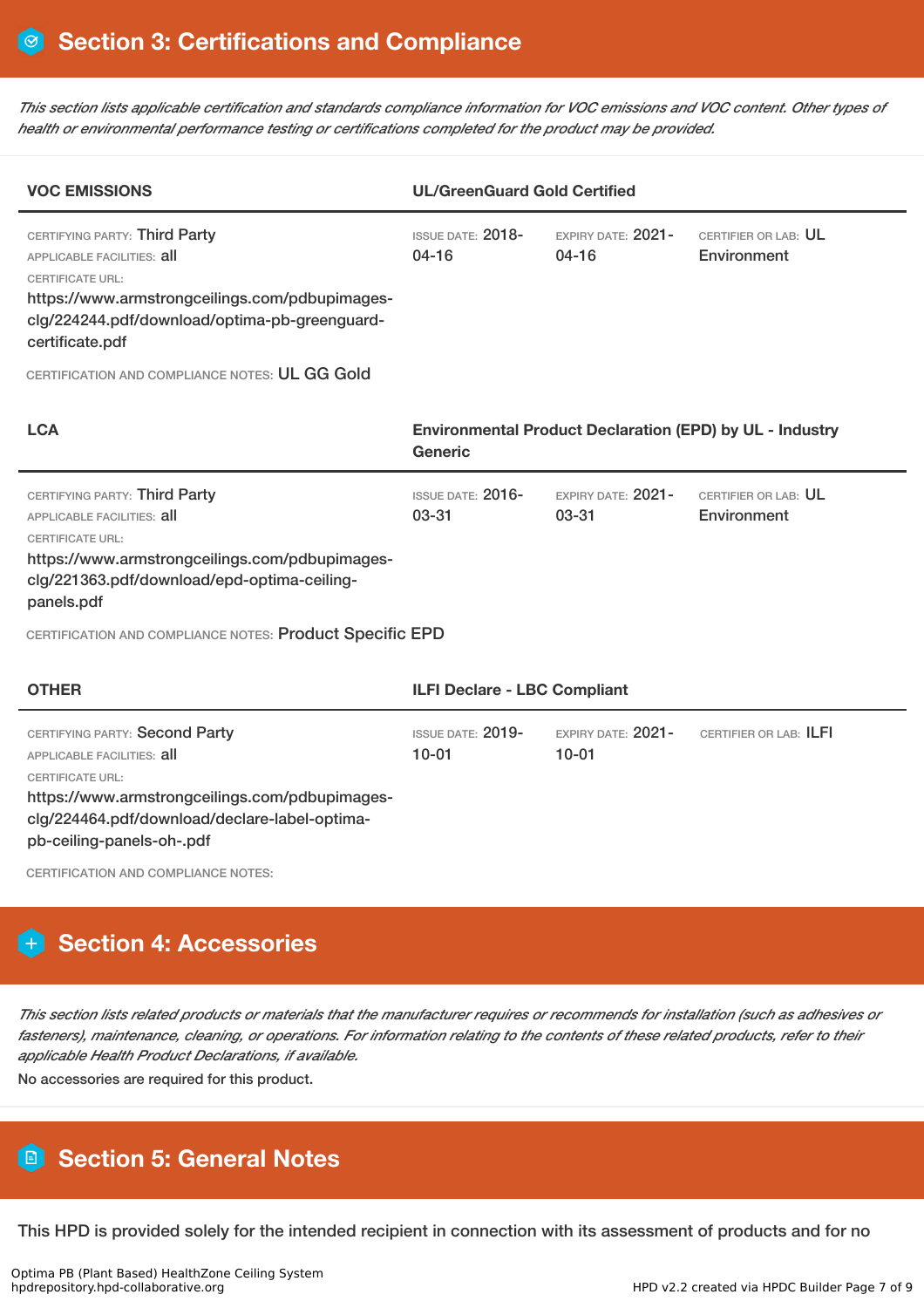This section lists applicable certification and standards compliance information for VOC emissions and VOC content. Other types of *health or environmental performance testing or certifications completed for the product may be provided.*

| <b>VOC EMISSIONS</b>                                                                                                                                                                                                                                                         | <b>UL/GreenGuard Gold Certified</b>   |                                   |                                                                 |  |
|------------------------------------------------------------------------------------------------------------------------------------------------------------------------------------------------------------------------------------------------------------------------------|---------------------------------------|-----------------------------------|-----------------------------------------------------------------|--|
| CERTIFYING PARTY: Third Party<br><b>APPLICABLE FACILITIES: all</b><br><b>CERTIFICATE URL:</b><br>https://www.armstrongceilings.com/pdbupimages-<br>clg/224244.pdf/download/optima-pb-greenguard-<br>certificate.pdf<br>CERTIFICATION AND COMPLIANCE NOTES: UL GG Gold        | <b>ISSUE DATE: 2018-</b><br>$04 - 16$ | EXPIRY DATE: 2021-<br>$04 - 16$   | CERTIFIER OR LAB: UL<br>Environment                             |  |
| <b>LCA</b>                                                                                                                                                                                                                                                                   | Generic                               |                                   | <b>Environmental Product Declaration (EPD) by UL - Industry</b> |  |
| CERTIFYING PARTY: Third Party<br><b>APPLICABLE FACILITIES: all</b><br><b>CERTIFICATE URL:</b><br>https://www.armstrongceilings.com/pdbupimages-<br>clg/221363.pdf/download/epd-optima-ceiling-<br>panels.pdf<br>CERTIFICATION AND COMPLIANCE NOTES: Product Specific EPD     | <b>ISSUE DATE: 2016-</b><br>$03 - 31$ | EXPIRY DATE: 2021-<br>03-31       | CERTIFIER OR LAB: UL<br>Environment                             |  |
| <b>OTHER</b>                                                                                                                                                                                                                                                                 | <b>ILFI Declare - LBC Compliant</b>   |                                   |                                                                 |  |
| CERTIFYING PARTY: Second Party<br><b>APPLICABLE FACILITIES: all</b><br><b>CERTIFICATE URL:</b><br>https://www.armstrongceilings.com/pdbupimages-<br>clg/224464.pdf/download/declare-label-optima-<br>pb-ceiling-panels-oh-.pdf<br><b>CERTIFICATION AND COMPLIANCE NOTES:</b> | <b>ISSUE DATE: 2019-</b><br>$10 - 01$ | $EXPIBY DATF: 2021-$<br>$10 - 01$ | CERTIFIER OR LAB: ILFI                                          |  |

# **Section 4: Accessories**

This section lists related products or materials that the manufacturer requires or recommends for installation (such as adhesives or fasteners), maintenance, cleaning, or operations. For information relating to the contents of these related products, refer to their *applicable Health Product Declarations, if available.*

No accessories are required for this product.

# **Section 5: General Notes**

This HPD is provided solely for the intended recipient in connection with its assessment of products and for no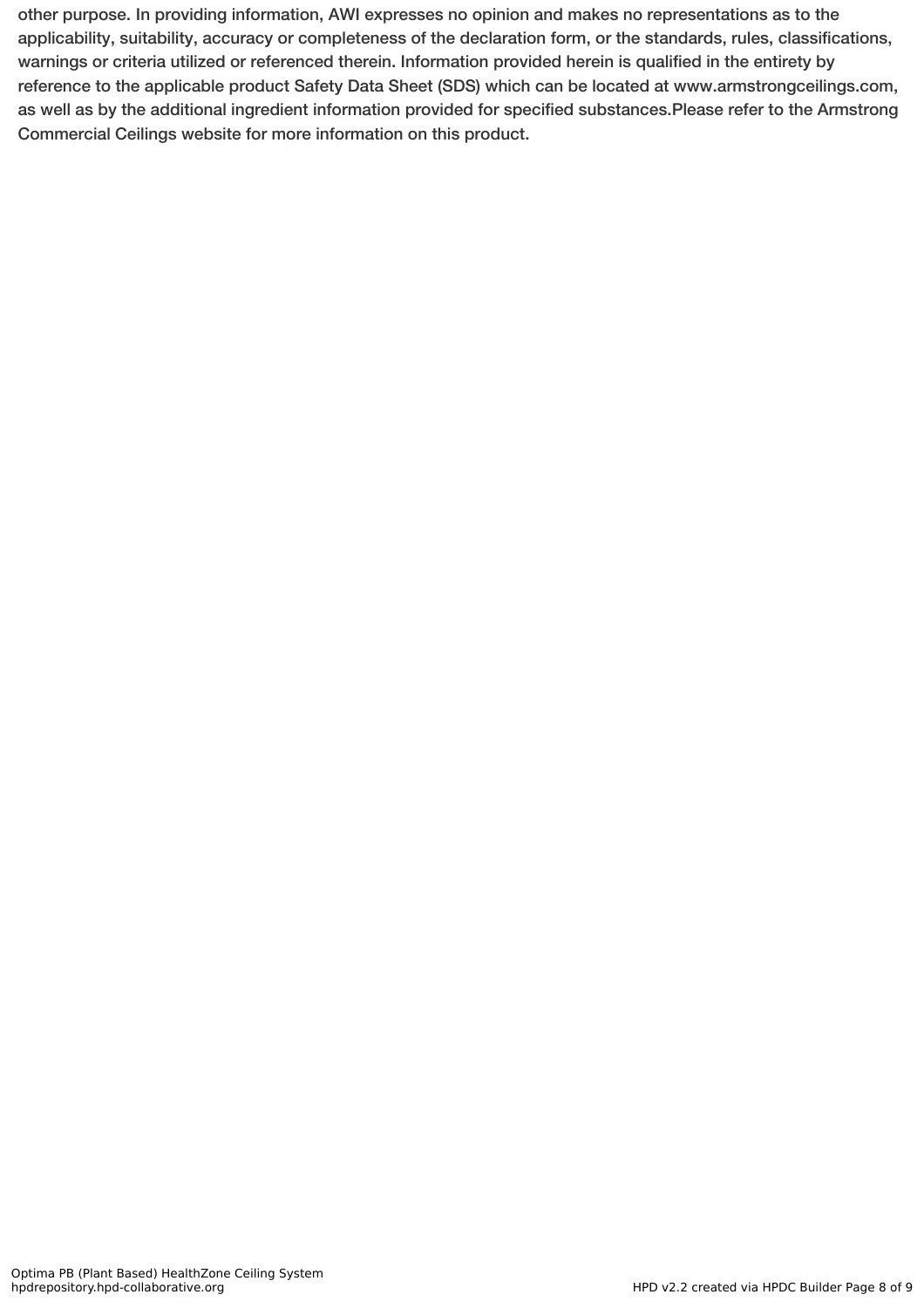other purpose. In providing information, AWI expresses no opinion and makes no representations as to the applicability, suitability, accuracy or completeness of the declaration form, or the standards, rules, classifications, warnings or criteria utilized or referenced therein. Information provided herein is qualified in the entirety by reference to the applicable product Safety Data Sheet (SDS) which can be located at www.armstrongceilings.com, as well as by the additional ingredient information provided for specified substances.Please refer to the Armstrong Commercial Ceilings website for more information on this product.